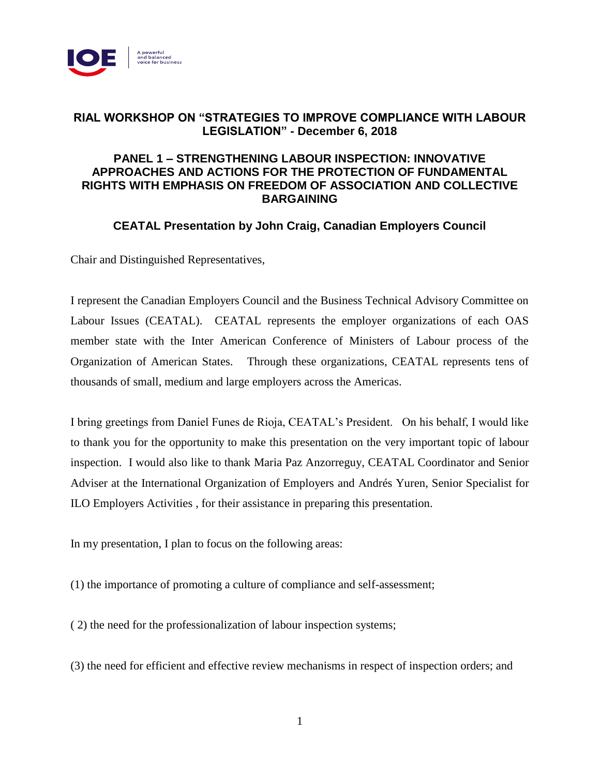

## **RIAL WORKSHOP ON "STRATEGIES TO IMPROVE COMPLIANCE WITH LABOUR LEGISLATION" - December 6, 2018**

## **PANEL 1 – STRENGTHENING LABOUR INSPECTION: INNOVATIVE APPROACHES AND ACTIONS FOR THE PROTECTION OF FUNDAMENTAL RIGHTS WITH EMPHASIS ON FREEDOM OF ASSOCIATION AND COLLECTIVE BARGAINING**

# **CEATAL Presentation by John Craig, Canadian Employers Council**

Chair and Distinguished Representatives,

I represent the Canadian Employers Council and the Business Technical Advisory Committee on Labour Issues (CEATAL). CEATAL represents the employer organizations of each OAS member state with the Inter American Conference of Ministers of Labour process of the Organization of American States. Through these organizations, CEATAL represents tens of thousands of small, medium and large employers across the Americas.

I bring greetings from Daniel Funes de Rioja, CEATAL's President. On his behalf, I would like to thank you for the opportunity to make this presentation on the very important topic of labour inspection. I would also like to thank Maria Paz Anzorreguy, CEATAL Coordinator and Senior Adviser at the International Organization of Employers and Andrés Yuren, Senior Specialist for ILO Employers Activities , for their assistance in preparing this presentation.

In my presentation, I plan to focus on the following areas:

(1) the importance of promoting a culture of compliance and self-assessment;

( 2) the need for the professionalization of labour inspection systems;

(3) the need for efficient and effective review mechanisms in respect of inspection orders; and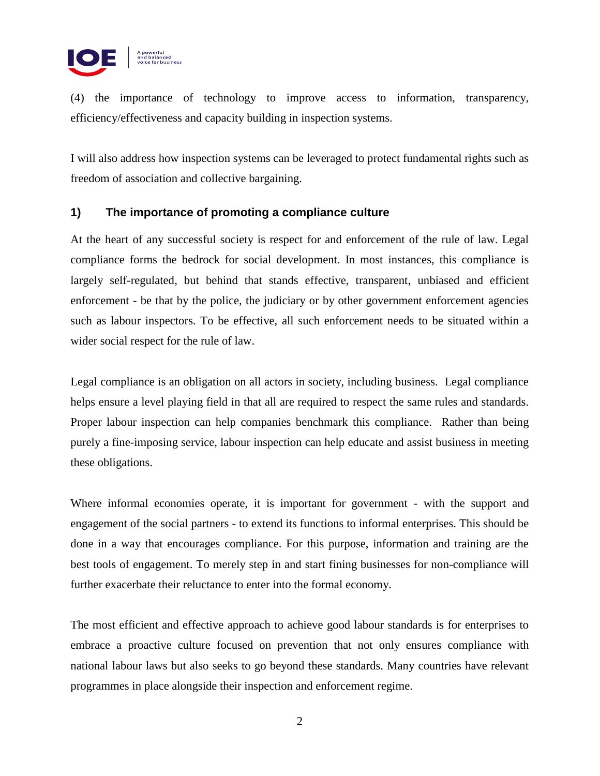

(4) the importance of technology to improve access to information, transparency, efficiency/effectiveness and capacity building in inspection systems.

I will also address how inspection systems can be leveraged to protect fundamental rights such as freedom of association and collective bargaining.

## **1) The importance of promoting a compliance culture**

At the heart of any successful society is respect for and enforcement of the rule of law. Legal compliance forms the bedrock for social development. In most instances, this compliance is largely self-regulated, but behind that stands effective, transparent, unbiased and efficient enforcement - be that by the police, the judiciary or by other government enforcement agencies such as labour inspectors. To be effective, all such enforcement needs to be situated within a wider social respect for the rule of law.

Legal compliance is an obligation on all actors in society, including business. Legal compliance helps ensure a level playing field in that all are required to respect the same rules and standards. Proper labour inspection can help companies benchmark this compliance. Rather than being purely a fine-imposing service, labour inspection can help educate and assist business in meeting these obligations.

Where informal economies operate, it is important for government - with the support and engagement of the social partners - to extend its functions to informal enterprises. This should be done in a way that encourages compliance. For this purpose, information and training are the best tools of engagement. To merely step in and start fining businesses for non-compliance will further exacerbate their reluctance to enter into the formal economy.

The most efficient and effective approach to achieve good labour standards is for enterprises to embrace a proactive culture focused on prevention that not only ensures compliance with national labour laws but also seeks to go beyond these standards. Many countries have relevant programmes in place alongside their inspection and enforcement regime.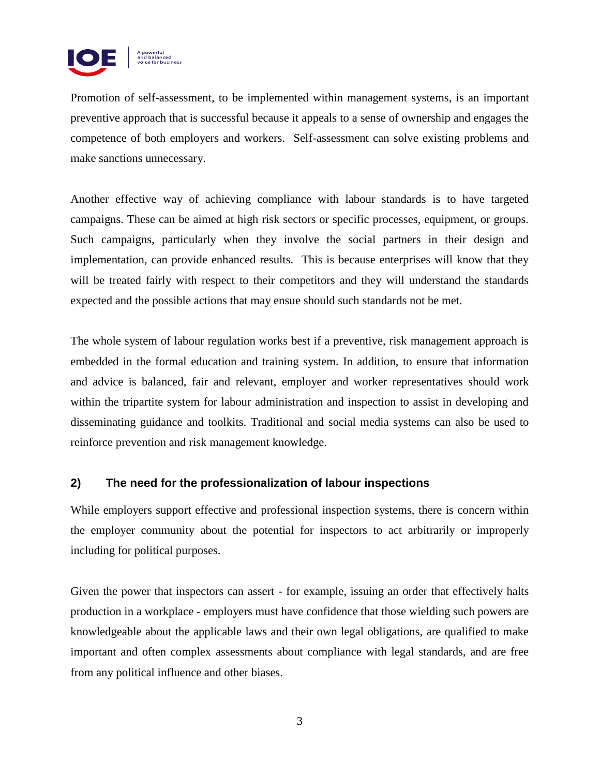

Promotion of self-assessment, to be implemented within management systems, is an important preventive approach that is successful because it appeals to a sense of ownership and engages the competence of both employers and workers. Self-assessment can solve existing problems and make sanctions unnecessary.

Another effective way of achieving compliance with labour standards is to have targeted campaigns. These can be aimed at high risk sectors or specific processes, equipment, or groups. Such campaigns, particularly when they involve the social partners in their design and implementation, can provide enhanced results. This is because enterprises will know that they will be treated fairly with respect to their competitors and they will understand the standards expected and the possible actions that may ensue should such standards not be met.

The whole system of labour regulation works best if a preventive, risk management approach is embedded in the formal education and training system. In addition, to ensure that information and advice is balanced, fair and relevant, employer and worker representatives should work within the tripartite system for labour administration and inspection to assist in developing and disseminating guidance and toolkits. Traditional and social media systems can also be used to reinforce prevention and risk management knowledge.

## **2) The need for the professionalization of labour inspections**

While employers support effective and professional inspection systems, there is concern within the employer community about the potential for inspectors to act arbitrarily or improperly including for political purposes.

Given the power that inspectors can assert - for example, issuing an order that effectively halts production in a workplace - employers must have confidence that those wielding such powers are knowledgeable about the applicable laws and their own legal obligations, are qualified to make important and often complex assessments about compliance with legal standards, and are free from any political influence and other biases.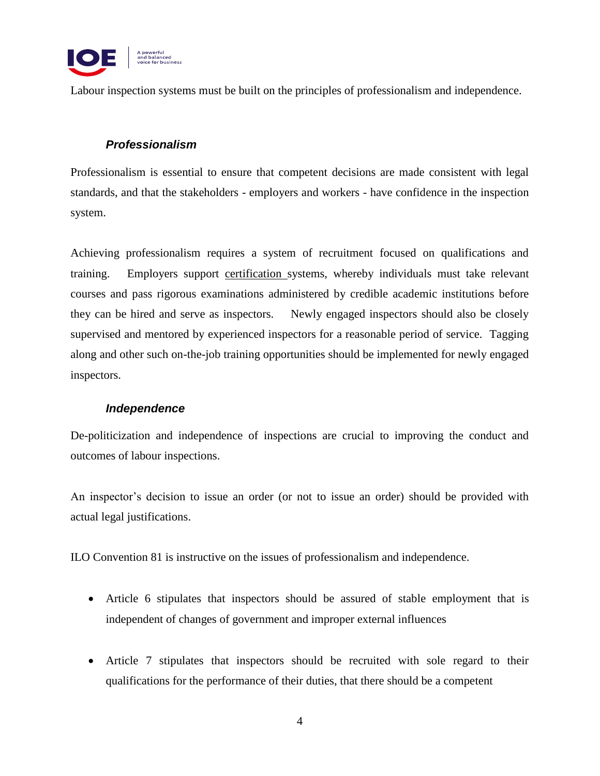

Labour inspection systems must be built on the principles of professionalism and independence.

## *Professionalism*

Professionalism is essential to ensure that competent decisions are made consistent with legal standards, and that the stakeholders - employers and workers - have confidence in the inspection system.

Achieving professionalism requires a system of recruitment focused on qualifications and training. Employers support certification systems, whereby individuals must take relevant courses and pass rigorous examinations administered by credible academic institutions before they can be hired and serve as inspectors. Newly engaged inspectors should also be closely supervised and mentored by experienced inspectors for a reasonable period of service. Tagging along and other such on-the-job training opportunities should be implemented for newly engaged inspectors.

#### *Independence*

De-politicization and independence of inspections are crucial to improving the conduct and outcomes of labour inspections.

An inspector's decision to issue an order (or not to issue an order) should be provided with actual legal justifications.

ILO Convention 81 is instructive on the issues of professionalism and independence.

- Article 6 stipulates that inspectors should be assured of stable employment that is independent of changes of government and improper external influences
- Article 7 stipulates that inspectors should be recruited with sole regard to their qualifications for the performance of their duties, that there should be a competent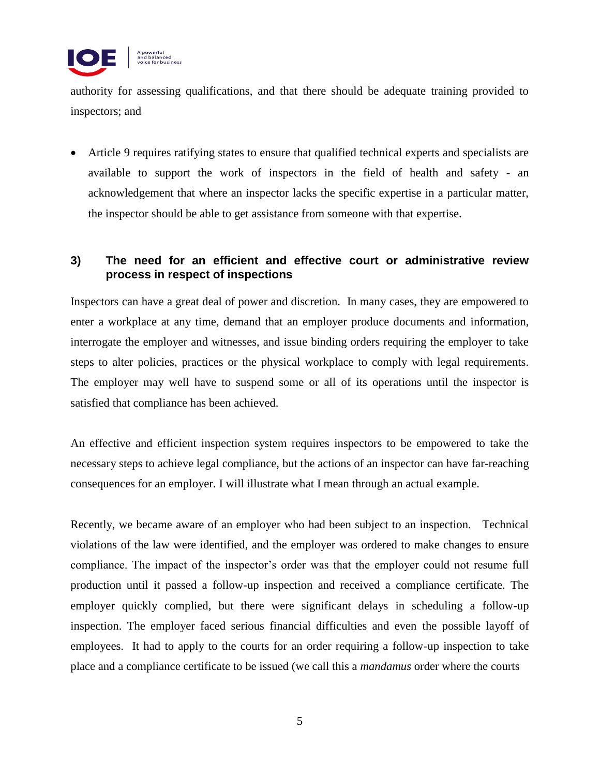

authority for assessing qualifications, and that there should be adequate training provided to inspectors; and

 Article 9 requires ratifying states to ensure that qualified technical experts and specialists are available to support the work of inspectors in the field of health and safety - an acknowledgement that where an inspector lacks the specific expertise in a particular matter, the inspector should be able to get assistance from someone with that expertise.

# **3) The need for an efficient and effective court or administrative review process in respect of inspections**

Inspectors can have a great deal of power and discretion. In many cases, they are empowered to enter a workplace at any time, demand that an employer produce documents and information, interrogate the employer and witnesses, and issue binding orders requiring the employer to take steps to alter policies, practices or the physical workplace to comply with legal requirements. The employer may well have to suspend some or all of its operations until the inspector is satisfied that compliance has been achieved.

An effective and efficient inspection system requires inspectors to be empowered to take the necessary steps to achieve legal compliance, but the actions of an inspector can have far-reaching consequences for an employer. I will illustrate what I mean through an actual example.

Recently, we became aware of an employer who had been subject to an inspection. Technical violations of the law were identified, and the employer was ordered to make changes to ensure compliance. The impact of the inspector's order was that the employer could not resume full production until it passed a follow-up inspection and received a compliance certificate. The employer quickly complied, but there were significant delays in scheduling a follow-up inspection. The employer faced serious financial difficulties and even the possible layoff of employees. It had to apply to the courts for an order requiring a follow-up inspection to take place and a compliance certificate to be issued (we call this a *mandamus* order where the courts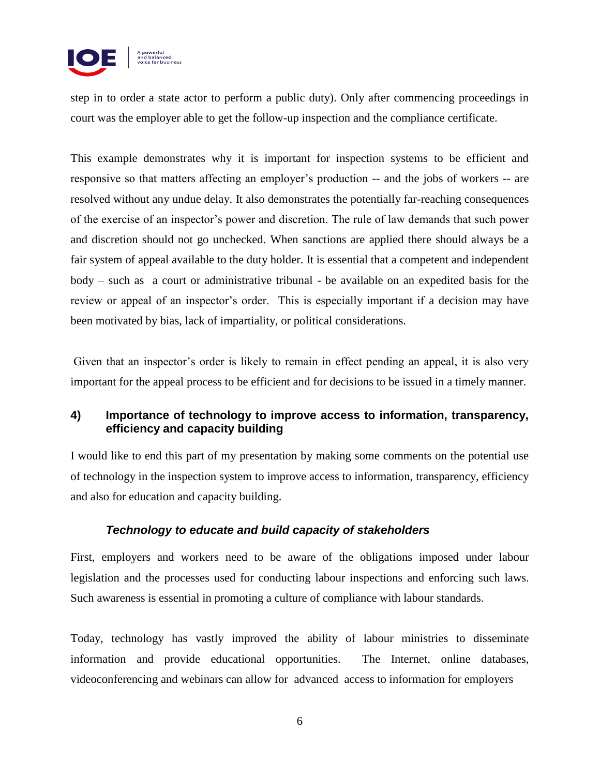

step in to order a state actor to perform a public duty). Only after commencing proceedings in court was the employer able to get the follow-up inspection and the compliance certificate.

This example demonstrates why it is important for inspection systems to be efficient and responsive so that matters affecting an employer's production -- and the jobs of workers -- are resolved without any undue delay. It also demonstrates the potentially far-reaching consequences of the exercise of an inspector's power and discretion. The rule of law demands that such power and discretion should not go unchecked. When sanctions are applied there should always be a fair system of appeal available to the duty holder. It is essential that a competent and independent body – such as a court or administrative tribunal - be available on an expedited basis for the review or appeal of an inspector's order. This is especially important if a decision may have been motivated by bias, lack of impartiality, or political considerations.

Given that an inspector's order is likely to remain in effect pending an appeal, it is also very important for the appeal process to be efficient and for decisions to be issued in a timely manner.

# **4) Importance of technology to improve access to information, transparency, efficiency and capacity building**

I would like to end this part of my presentation by making some comments on the potential use of technology in the inspection system to improve access to information, transparency, efficiency and also for education and capacity building.

## *Technology to educate and build capacity of stakeholders*

First, employers and workers need to be aware of the obligations imposed under labour legislation and the processes used for conducting labour inspections and enforcing such laws. Such awareness is essential in promoting a culture of compliance with labour standards.

Today, technology has vastly improved the ability of labour ministries to disseminate information and provide educational opportunities. The Internet, online databases, videoconferencing and webinars can allow for advanced access to information for employers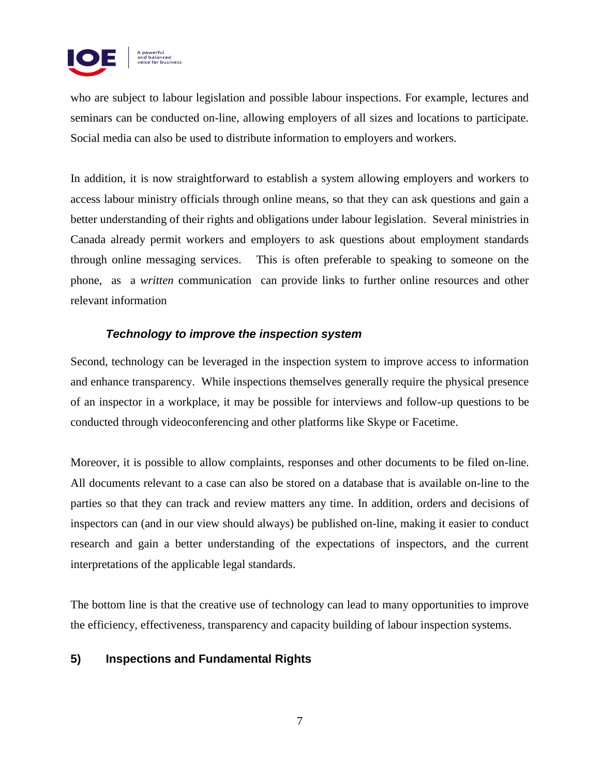

who are subject to labour legislation and possible labour inspections. For example, lectures and seminars can be conducted on-line, allowing employers of all sizes and locations to participate. Social media can also be used to distribute information to employers and workers.

In addition, it is now straightforward to establish a system allowing employers and workers to access labour ministry officials through online means, so that they can ask questions and gain a better understanding of their rights and obligations under labour legislation. Several ministries in Canada already permit workers and employers to ask questions about employment standards through online messaging services. This is often preferable to speaking to someone on the phone, as a *written* communication can provide links to further online resources and other relevant information

# *Technology to improve the inspection system*

Second, technology can be leveraged in the inspection system to improve access to information and enhance transparency. While inspections themselves generally require the physical presence of an inspector in a workplace, it may be possible for interviews and follow-up questions to be conducted through videoconferencing and other platforms like Skype or Facetime.

Moreover, it is possible to allow complaints, responses and other documents to be filed on-line. All documents relevant to a case can also be stored on a database that is available on-line to the parties so that they can track and review matters any time. In addition, orders and decisions of inspectors can (and in our view should always) be published on-line, making it easier to conduct research and gain a better understanding of the expectations of inspectors, and the current interpretations of the applicable legal standards.

The bottom line is that the creative use of technology can lead to many opportunities to improve the efficiency, effectiveness, transparency and capacity building of labour inspection systems.

## **5) Inspections and Fundamental Rights**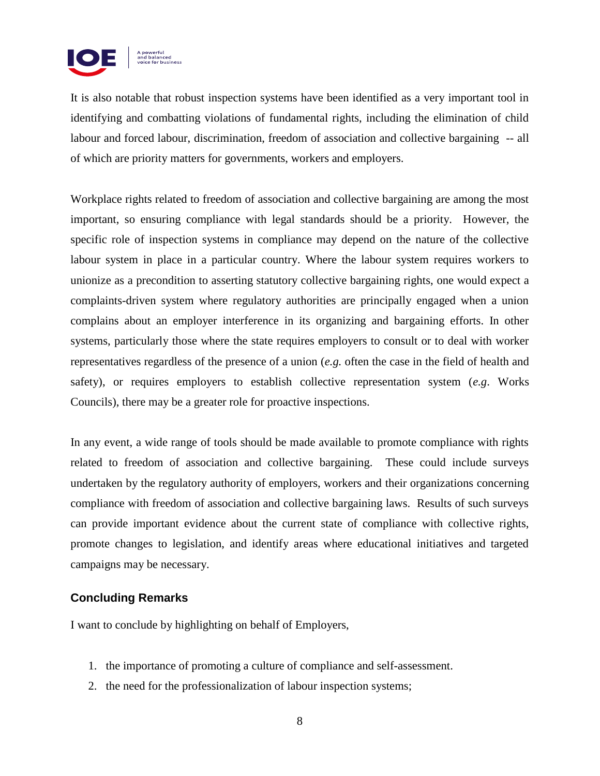

It is also notable that robust inspection systems have been identified as a very important tool in identifying and combatting violations of fundamental rights, including the elimination of child labour and forced labour, discrimination, freedom of association and collective bargaining -- all of which are priority matters for governments, workers and employers.

Workplace rights related to freedom of association and collective bargaining are among the most important, so ensuring compliance with legal standards should be a priority. However, the specific role of inspection systems in compliance may depend on the nature of the collective labour system in place in a particular country. Where the labour system requires workers to unionize as a precondition to asserting statutory collective bargaining rights, one would expect a complaints-driven system where regulatory authorities are principally engaged when a union complains about an employer interference in its organizing and bargaining efforts. In other systems, particularly those where the state requires employers to consult or to deal with worker representatives regardless of the presence of a union (*e.g.* often the case in the field of health and safety), or requires employers to establish collective representation system (*e.g*. Works Councils), there may be a greater role for proactive inspections.

In any event, a wide range of tools should be made available to promote compliance with rights related to freedom of association and collective bargaining. These could include surveys undertaken by the regulatory authority of employers, workers and their organizations concerning compliance with freedom of association and collective bargaining laws. Results of such surveys can provide important evidence about the current state of compliance with collective rights, promote changes to legislation, and identify areas where educational initiatives and targeted campaigns may be necessary.

## **Concluding Remarks**

I want to conclude by highlighting on behalf of Employers,

- 1. the importance of promoting a culture of compliance and self-assessment.
- 2. the need for the professionalization of labour inspection systems;